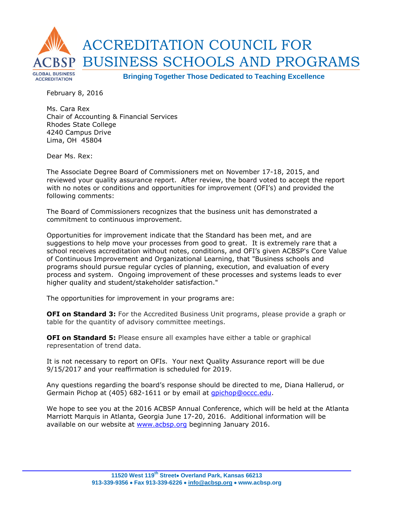

February 8, 2016

Ms. Cara Rex Chair of Accounting & Financial Services Rhodes State College 4240 Campus Drive Lima, OH 45804

Dear Ms. Rex:

The Associate Degree Board of Commissioners met on November 17-18, 2015, and reviewed your quality assurance report. After review, the board voted to accept the report with no notes or conditions and opportunities for improvement (OFI's) and provided the following comments:

The Board of Commissioners recognizes that the business unit has demonstrated a commitment to continuous improvement.

Opportunities for improvement indicate that the Standard has been met, and are suggestions to help move your processes from good to great. It is extremely rare that a school receives accreditation without notes, conditions, and OFI's given ACBSP's Core Value of Continuous Improvement and Organizational Learning, that "Business schools and programs should pursue regular cycles of planning, execution, and evaluation of every process and system. Ongoing improvement of these processes and systems leads to ever higher quality and student/stakeholder satisfaction."

The opportunities for improvement in your programs are:

**OFI on Standard 3:** For the Accredited Business Unit programs, please provide a graph or table for the quantity of advisory committee meetings.

**OFI on Standard 5:** Please ensure all examples have either a table or graphical representation of trend data.

It is not necessary to report on OFIs. Your next Quality Assurance report will be due 9/15/2017 and your reaffirmation is scheduled for 2019.

Any questions regarding the board's response should be directed to me, Diana Hallerud, or Germain Pichop at (405) 682-1611 or by email at *gpichop@occc.edu*.

We hope to see you at the 2016 ACBSP Annual Conference, which will be held at the Atlanta Marriott Marquis in Atlanta, Georgia June 17-20, 2016. Additional information will be available on our website at www.acbsp.org beginning January 2016.